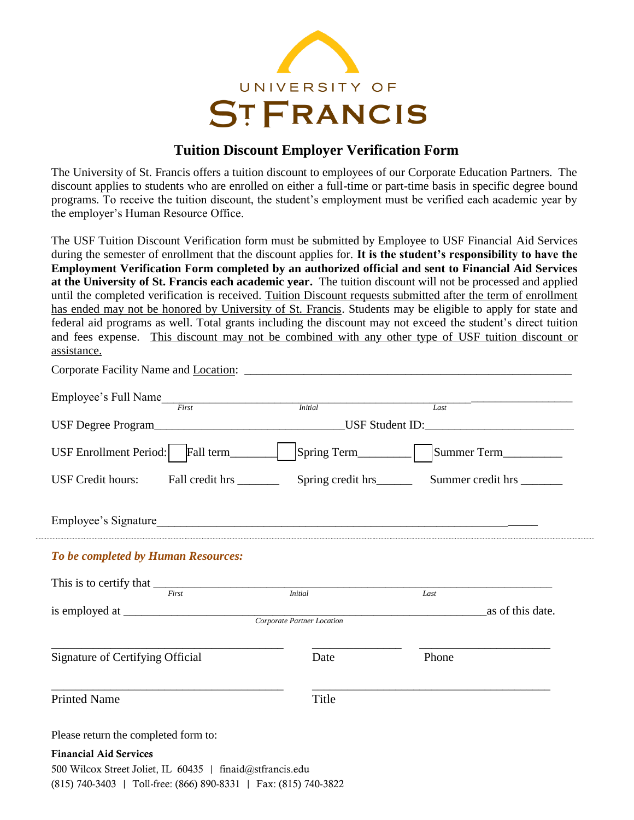

## **Tuition Discount Employer Verification Form**

The University of St. Francis offers a tuition discount to employees of our Corporate Education Partners. The discount applies to students who are enrolled on either a full-time or part-time basis in specific degree bound programs. To receive the tuition discount, the student's employment must be verified each academic year by the employer's Human Resource Office.

The USF Tuition Discount Verification form must be submitted by Employee to USF Financial Aid Services during the semester of enrollment that the discount applies for. **It is the student's responsibility to have the Employment Verification Form completed by an authorized official and sent to Financial Aid Services at the University of St. Francis each academic year.** The tuition discount will not be processed and applied until the completed verification is received. Tuition Discount requests submitted after the term of enrollment has ended may not be honored by University of St. Francis. Students may be eligible to apply for state and federal aid programs as well. Total grants including the discount may not exceed the student's direct tuition and fees expense. This discount may not be combined with any other type of USF tuition discount or assistance.

| Employee's Full Name                                      | <i>Initial</i>                                                                    | Last             |  |
|-----------------------------------------------------------|-----------------------------------------------------------------------------------|------------------|--|
|                                                           | USF Degree Program_________________________________USF Student ID:_______________ |                  |  |
|                                                           |                                                                                   |                  |  |
| USF Credit hours: Fall credit hrs ________                |                                                                                   |                  |  |
|                                                           |                                                                                   |                  |  |
| To be completed by Human Resources:                       |                                                                                   |                  |  |
| This is to certify that $\frac{1}{First}$                 | <i>Initial</i>                                                                    | Last             |  |
|                                                           |                                                                                   | as of this date. |  |
|                                                           |                                                                                   |                  |  |
| Signature of Certifying Official                          | Date                                                                              | Phone            |  |
| <b>Printed Name</b>                                       | Title                                                                             |                  |  |
| Please return the completed form to:                      |                                                                                   |                  |  |
| <b>Financial Aid Services</b>                             |                                                                                   |                  |  |
| 500 Wilcox Street Joliet, IL 60435   finaid@stfrancis.edu |                                                                                   |                  |  |

(815) 740-3403 | Toll-free: (866) 890-8331 | Fax: (815) 740-3822

Corporate Facility Name and Location: